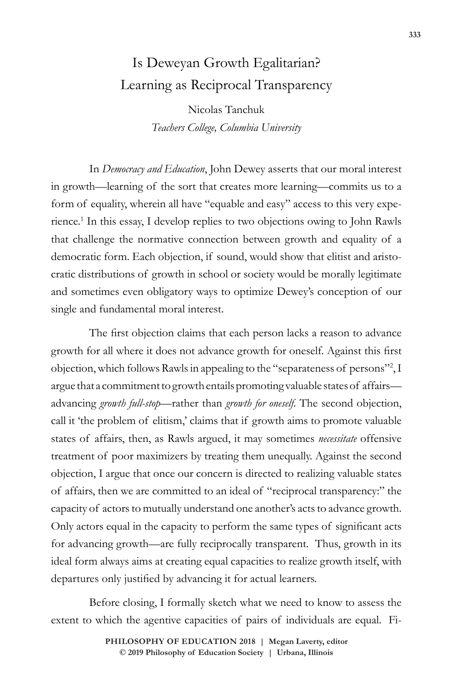# Is Deweyan Growth Egalitarian? Learning as Reciprocal Transparency

Nicolas Tanchuk *Teachers College, Columbia University*

In *Democracy and Education*, John Dewey asserts that our moral interest in growth—learning of the sort that creates more learning—commits us to a form of equality, wherein all have "equable and easy" access to this very experience.1 In this essay, I develop replies to two objections owing to John Rawls that challenge the normative connection between growth and equality of a democratic form. Each objection, if sound, would show that elitist and aristocratic distributions of growth in school or society would be morally legitimate and sometimes even obligatory ways to optimize Dewey's conception of our single and fundamental moral interest.

The first objection claims that each person lacks a reason to advance growth for all where it does not advance growth for oneself. Against this first objection, which follows Rawls in appealing to the "separateness of persons"2 , I argue that a commitment to growth entails promoting valuable states of affairs advancing *growth full-stop*—rather than *growth for oneself*. The second objection, call it 'the problem of elitism,' claims that if growth aims to promote valuable states of affairs, then, as Rawls argued, it may sometimes *necessitate* offensive treatment of poor maximizers by treating them unequally. Against the second objection, I argue that once our concern is directed to realizing valuable states of affairs, then we are committed to an ideal of "reciprocal transparency:" the capacity of actors to mutually understand one another's acts to advance growth. Only actors equal in the capacity to perform the same types of significant acts for advancing growth—are fully reciprocally transparent. Thus, growth in its ideal form always aims at creating equal capacities to realize growth itself, with departures only justified by advancing it for actual learners.

Before closing, I formally sketch what we need to know to assess the extent to which the agentive capacities of pairs of individuals are equal. Fi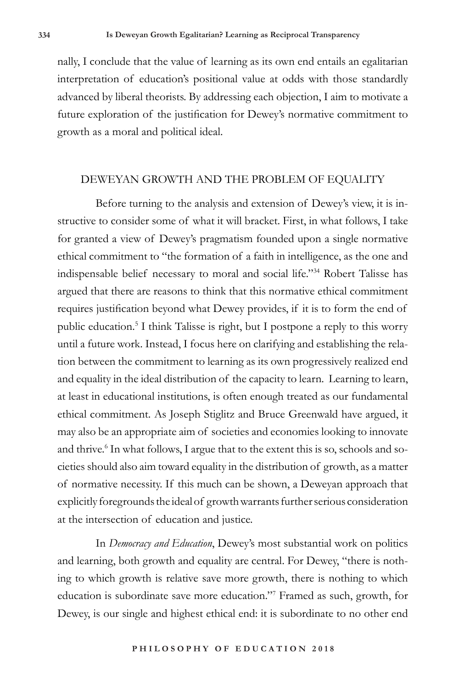nally, I conclude that the value of learning as its own end entails an egalitarian interpretation of education's positional value at odds with those standardly advanced by liberal theorists. By addressing each objection, I aim to motivate a future exploration of the justification for Dewey's normative commitment to growth as a moral and political ideal.

#### DEWEYAN GROWTH AND THE PROBLEM OF EQUALITY

Before turning to the analysis and extension of Dewey's view, it is instructive to consider some of what it will bracket. First, in what follows, I take for granted a view of Dewey's pragmatism founded upon a single normative ethical commitment to "the formation of a faith in intelligence, as the one and indispensable belief necessary to moral and social life."34 Robert Talisse has argued that there are reasons to think that this normative ethical commitment requires justification beyond what Dewey provides, if it is to form the end of public education.<sup>5</sup> I think Talisse is right, but I postpone a reply to this worry until a future work. Instead, I focus here on clarifying and establishing the relation between the commitment to learning as its own progressively realized end and equality in the ideal distribution of the capacity to learn. Learning to learn, at least in educational institutions, is often enough treated as our fundamental ethical commitment. As Joseph Stiglitz and Bruce Greenwald have argued, it may also be an appropriate aim of societies and economies looking to innovate and thrive.<sup>6</sup> In what follows, I argue that to the extent this is so, schools and societies should also aim toward equality in the distribution of growth, as a matter of normative necessity. If this much can be shown, a Deweyan approach that explicitly foregrounds the ideal of growth warrants further serious consideration at the intersection of education and justice.

In *Democracy and Education*, Dewey's most substantial work on politics and learning, both growth and equality are central. For Dewey, "there is nothing to which growth is relative save more growth, there is nothing to which education is subordinate save more education."7 Framed as such, growth, for Dewey, is our single and highest ethical end: it is subordinate to no other end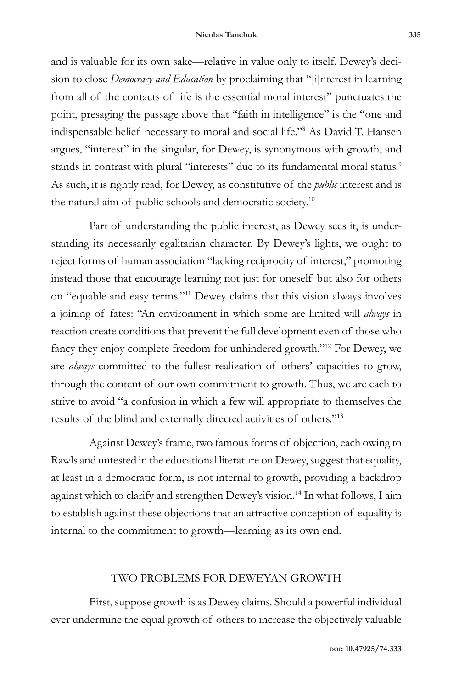and is valuable for its own sake—relative in value only to itself. Dewey's decision to close *Democracy and Education* by proclaiming that "[i]nterest in learning from all of the contacts of life is the essential moral interest" punctuates the point, presaging the passage above that "faith in intelligence" is the "one and indispensable belief necessary to moral and social life."8 As David T. Hansen argues, "interest" in the singular, for Dewey, is synonymous with growth, and stands in contrast with plural "interests" due to its fundamental moral status.<sup>9</sup> As such, it is rightly read, for Dewey, as constitutive of the *public* interest and is the natural aim of public schools and democratic society.10

Part of understanding the public interest, as Dewey sees it, is understanding its necessarily egalitarian character. By Dewey's lights, we ought to reject forms of human association "lacking reciprocity of interest," promoting instead those that encourage learning not just for oneself but also for others on "equable and easy terms."11 Dewey claims that this vision always involves a joining of fates: "An environment in which some are limited will *always* in reaction create conditions that prevent the full development even of those who fancy they enjoy complete freedom for unhindered growth."12 For Dewey, we are *always* committed to the fullest realization of others' capacities to grow, through the content of our own commitment to growth. Thus, we are each to strive to avoid "a confusion in which a few will appropriate to themselves the results of the blind and externally directed activities of others."13

Against Dewey's frame, two famous forms of objection, each owing to Rawls and untested in the educational literature on Dewey, suggest that equality, at least in a democratic form, is not internal to growth, providing a backdrop against which to clarify and strengthen Dewey's vision.<sup>14</sup> In what follows, I aim to establish against these objections that an attractive conception of equality is internal to the commitment to growth—learning as its own end.

### TWO PROBLEMS FOR DEWEYAN GROWTH

First, suppose growth is as Dewey claims. Should a powerful individual ever undermine the equal growth of others to increase the objectively valuable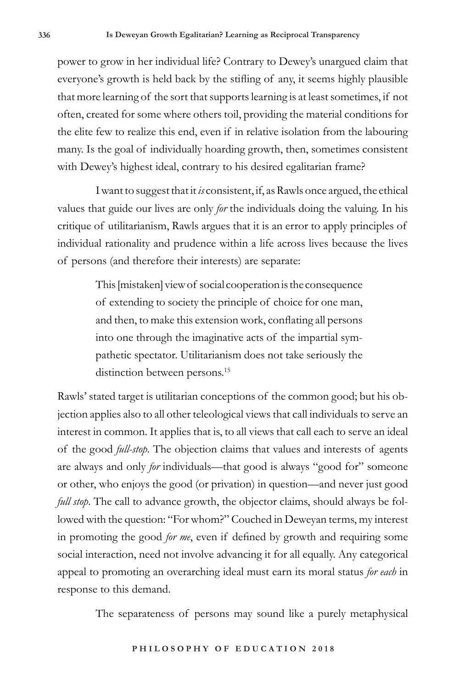power to grow in her individual life? Contrary to Dewey's unargued claim that everyone's growth is held back by the stifling of any, it seems highly plausible that more learning of the sort that supports learning is at least sometimes, if not often, created for some where others toil, providing the material conditions for the elite few to realize this end, even if in relative isolation from the labouring many. Is the goal of individually hoarding growth, then, sometimes consistent with Dewey's highest ideal, contrary to his desired egalitarian frame?

I want to suggest that it *is* consistent, if, as Rawls once argued, the ethical values that guide our lives are only *for* the individuals doing the valuing. In his critique of utilitarianism, Rawls argues that it is an error to apply principles of individual rationality and prudence within a life across lives because the lives of persons (and therefore their interests) are separate:

> This [mistaken] view of social cooperation is the consequence of extending to society the principle of choice for one man, and then, to make this extension work, conflating all persons into one through the imaginative acts of the impartial sympathetic spectator. Utilitarianism does not take seriously the distinction between persons.<sup>15</sup>

Rawls' stated target is utilitarian conceptions of the common good; but his objection applies also to all other teleological views that call individuals to serve an interest in common. It applies that is, to all views that call each to serve an ideal of the good *full-stop*. The objection claims that values and interests of agents are always and only *for* individuals—that good is always "good for" someone or other, who enjoys the good (or privation) in question—and never just good *full stop*. The call to advance growth, the objector claims, should always be followed with the question: "For whom?" Couched in Deweyan terms, my interest in promoting the good *for me*, even if defined by growth and requiring some social interaction, need not involve advancing it for all equally. Any categorical appeal to promoting an overarching ideal must earn its moral status *for each* in response to this demand.

The separateness of persons may sound like a purely metaphysical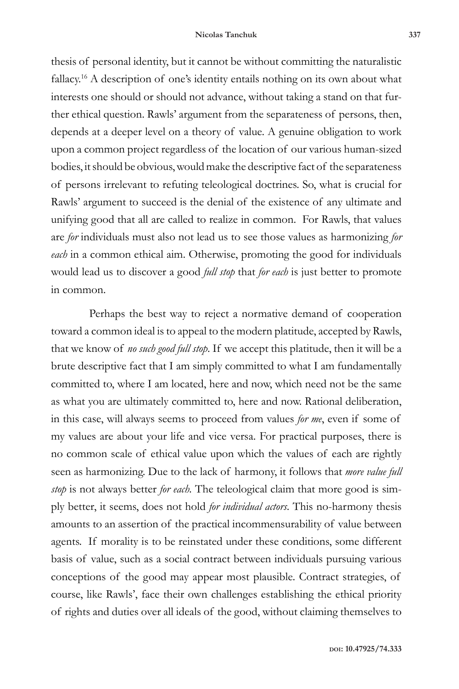thesis of personal identity, but it cannot be without committing the naturalistic fallacy.16 A description of one's identity entails nothing on its own about what interests one should or should not advance, without taking a stand on that further ethical question. Rawls' argument from the separateness of persons, then, depends at a deeper level on a theory of value. A genuine obligation to work upon a common project regardless of the location of our various human-sized bodies, it should be obvious, would make the descriptive fact of the separateness of persons irrelevant to refuting teleological doctrines. So, what is crucial for Rawls' argument to succeed is the denial of the existence of any ultimate and unifying good that all are called to realize in common. For Rawls, that values are *for* individuals must also not lead us to see those values as harmonizing *for each* in a common ethical aim. Otherwise, promoting the good for individuals would lead us to discover a good *full stop* that *for each* is just better to promote in common.

Perhaps the best way to reject a normative demand of cooperation toward a common ideal is to appeal to the modern platitude, accepted by Rawls, that we know of *no such good full stop*. If we accept this platitude, then it will be a brute descriptive fact that I am simply committed to what I am fundamentally committed to, where I am located, here and now, which need not be the same as what you are ultimately committed to, here and now. Rational deliberation, in this case, will always seems to proceed from values *for me*, even if some of my values are about your life and vice versa. For practical purposes, there is no common scale of ethical value upon which the values of each are rightly seen as harmonizing. Due to the lack of harmony, it follows that *more value full stop* is not always better *for each.* The teleological claim that more good is simply better, it seems, does not hold *for individual actors*. This no-harmony thesis amounts to an assertion of the practical incommensurability of value between agents. If morality is to be reinstated under these conditions, some different basis of value, such as a social contract between individuals pursuing various conceptions of the good may appear most plausible. Contract strategies, of course, like Rawls', face their own challenges establishing the ethical priority of rights and duties over all ideals of the good, without claiming themselves to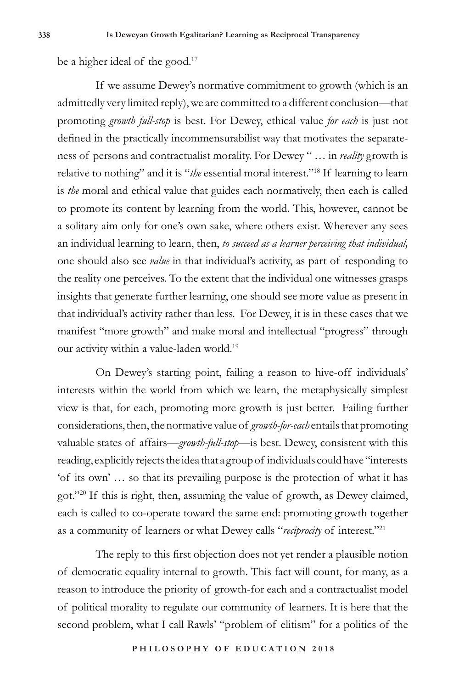be a higher ideal of the good. $17$ 

If we assume Dewey's normative commitment to growth (which is an admittedly very limited reply), we are committed to a different conclusion—that promoting *growth full-stop* is best. For Dewey, ethical value *for each* is just not defined in the practically incommensurabilist way that motivates the separateness of persons and contractualist morality. For Dewey " … in *reality* growth is relative to nothing" and it is "*the* essential moral interest."18 If learning to learn is *the* moral and ethical value that guides each normatively, then each is called to promote its content by learning from the world. This, however, cannot be a solitary aim only for one's own sake, where others exist. Wherever any sees an individual learning to learn, then, *to succeed as a learner perceiving that individual,*  one should also see *value* in that individual's activity, as part of responding to the reality one perceives. To the extent that the individual one witnesses grasps insights that generate further learning, one should see more value as present in that individual's activity rather than less. For Dewey, it is in these cases that we manifest "more growth" and make moral and intellectual "progress" through our activity within a value-laden world.<sup>19</sup>

On Dewey's starting point, failing a reason to hive-off individuals' interests within the world from which we learn, the metaphysically simplest view is that, for each, promoting more growth is just better. Failing further considerations, then, the normative value of *growth-for-each* entails that promoting valuable states of affairs—*growth-full-stop*—is best. Dewey, consistent with this reading, explicitly rejects the idea that a group of individuals could have "interests 'of its own' … so that its prevailing purpose is the protection of what it has got."20 If this is right, then, assuming the value of growth, as Dewey claimed, each is called to co-operate toward the same end: promoting growth together as a community of learners or what Dewey calls "*reciprocity* of interest."21

The reply to this first objection does not yet render a plausible notion of democratic equality internal to growth. This fact will count, for many, as a reason to introduce the priority of growth-for each and a contractualist model of political morality to regulate our community of learners. It is here that the second problem, what I call Rawls' "problem of elitism" for a politics of the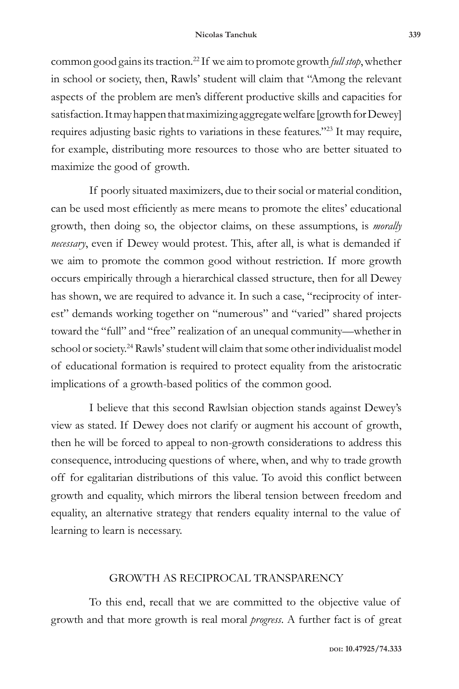common good gains its traction.22 If we aim to promote growth *full stop*, whether in school or society, then, Rawls' student will claim that "Among the relevant aspects of the problem are men's different productive skills and capacities for satisfaction. It may happen that maximizing aggregate welfare [growth for Dewey] requires adjusting basic rights to variations in these features."23 It may require, for example, distributing more resources to those who are better situated to maximize the good of growth.

If poorly situated maximizers, due to their social or material condition, can be used most efficiently as mere means to promote the elites' educational growth, then doing so, the objector claims, on these assumptions, is *morally necessary*, even if Dewey would protest. This, after all, is what is demanded if we aim to promote the common good without restriction. If more growth occurs empirically through a hierarchical classed structure, then for all Dewey has shown, we are required to advance it. In such a case, "reciprocity of interest" demands working together on "numerous" and "varied" shared projects toward the "full" and "free" realization of an unequal community—whether in school or society.<sup>24</sup> Rawls' student will claim that some other individualist model of educational formation is required to protect equality from the aristocratic implications of a growth-based politics of the common good.

I believe that this second Rawlsian objection stands against Dewey's view as stated. If Dewey does not clarify or augment his account of growth, then he will be forced to appeal to non-growth considerations to address this consequence, introducing questions of where, when, and why to trade growth off for egalitarian distributions of this value. To avoid this conflict between growth and equality, which mirrors the liberal tension between freedom and equality, an alternative strategy that renders equality internal to the value of learning to learn is necessary.

## GROWTH AS RECIPROCAL TRANSPARENCY

To this end, recall that we are committed to the objective value of growth and that more growth is real moral *progress*. A further fact is of great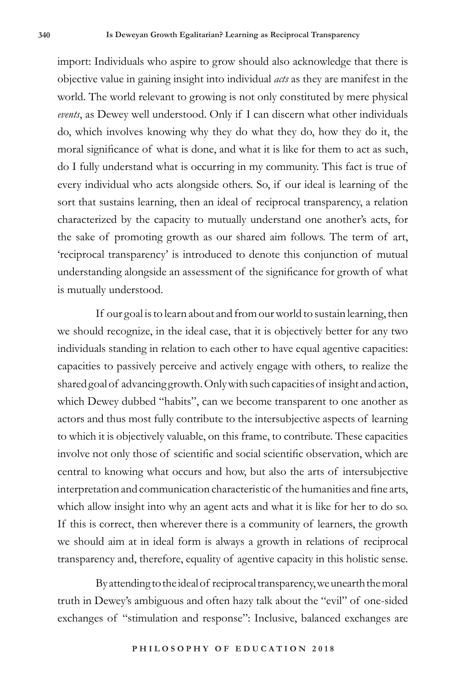import: Individuals who aspire to grow should also acknowledge that there is objective value in gaining insight into individual *acts* as they are manifest in the world. The world relevant to growing is not only constituted by mere physical *events*, as Dewey well understood. Only if I can discern what other individuals do, which involves knowing why they do what they do, how they do it, the moral significance of what is done, and what it is like for them to act as such, do I fully understand what is occurring in my community. This fact is true of every individual who acts alongside others. So, if our ideal is learning of the sort that sustains learning, then an ideal of reciprocal transparency, a relation characterized by the capacity to mutually understand one another's acts, for the sake of promoting growth as our shared aim follows. The term of art, 'reciprocal transparency' is introduced to denote this conjunction of mutual understanding alongside an assessment of the significance for growth of what is mutually understood.

If our goal is to learn about and from our world to sustain learning, then we should recognize, in the ideal case, that it is objectively better for any two individuals standing in relation to each other to have equal agentive capacities: capacities to passively perceive and actively engage with others, to realize the shared goal of advancing growth. Only with such capacities of insight and action, which Dewey dubbed "habits", can we become transparent to one another as actors and thus most fully contribute to the intersubjective aspects of learning to which it is objectively valuable, on this frame, to contribute. These capacities involve not only those of scientific and social scientific observation, which are central to knowing what occurs and how, but also the arts of intersubjective interpretation and communication characteristic of the humanities and fine arts, which allow insight into why an agent acts and what it is like for her to do so. If this is correct, then wherever there is a community of learners, the growth we should aim at in ideal form is always a growth in relations of reciprocal transparency and, therefore, equality of agentive capacity in this holistic sense.

By attending to the ideal of reciprocal transparency, we unearth the moral truth in Dewey's ambiguous and often hazy talk about the "evil" of one-sided exchanges of "stimulation and response": Inclusive, balanced exchanges are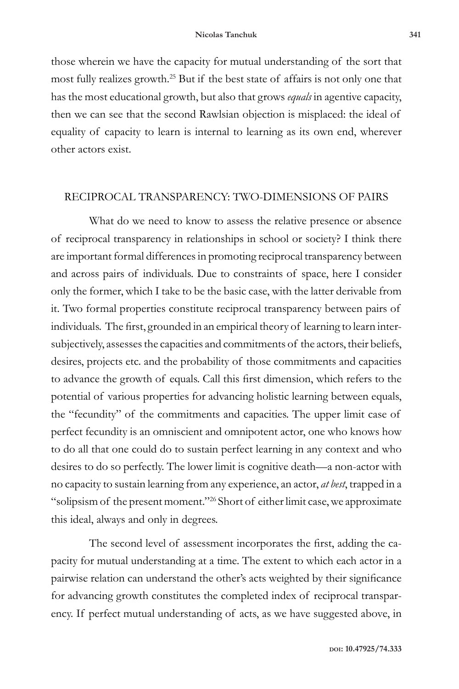those wherein we have the capacity for mutual understanding of the sort that most fully realizes growth.25 But if the best state of affairs is not only one that has the most educational growth, but also that grows *equals* in agentive capacity, then we can see that the second Rawlsian objection is misplaced: the ideal of equality of capacity to learn is internal to learning as its own end, wherever other actors exist.

## RECIPROCAL TRANSPARENCY: TWO-DIMENSIONS OF PAIRS

What do we need to know to assess the relative presence or absence of reciprocal transparency in relationships in school or society? I think there are important formal differences in promoting reciprocal transparency between and across pairs of individuals. Due to constraints of space, here I consider only the former, which I take to be the basic case, with the latter derivable from it. Two formal properties constitute reciprocal transparency between pairs of individuals. The first, grounded in an empirical theory of learning to learn intersubjectively, assesses the capacities and commitments of the actors, their beliefs, desires, projects etc. and the probability of those commitments and capacities to advance the growth of equals. Call this first dimension, which refers to the potential of various properties for advancing holistic learning between equals, the "fecundity" of the commitments and capacities. The upper limit case of perfect fecundity is an omniscient and omnipotent actor, one who knows how to do all that one could do to sustain perfect learning in any context and who desires to do so perfectly. The lower limit is cognitive death—a non-actor with no capacity to sustain learning from any experience, an actor, *at best*, trapped in a "solipsism of the present moment."26 Short of either limit case, we approximate this ideal, always and only in degrees.

The second level of assessment incorporates the first, adding the capacity for mutual understanding at a time. The extent to which each actor in a pairwise relation can understand the other's acts weighted by their significance for advancing growth constitutes the completed index of reciprocal transparency. If perfect mutual understanding of acts, as we have suggested above, in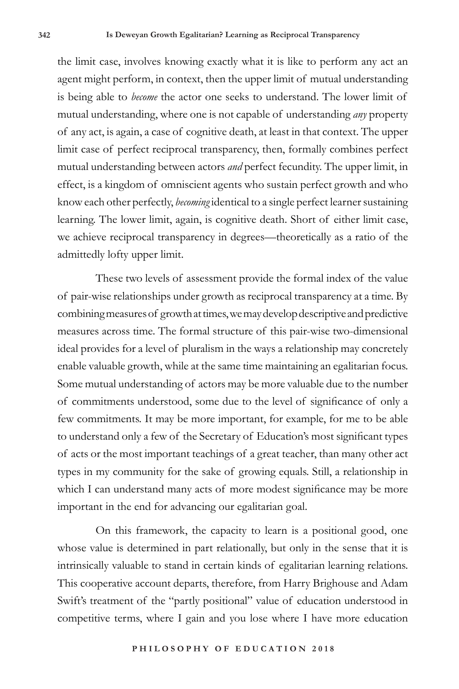the limit case, involves knowing exactly what it is like to perform any act an agent might perform, in context, then the upper limit of mutual understanding is being able to *become* the actor one seeks to understand. The lower limit of mutual understanding, where one is not capable of understanding *any* property of any act, is again, a case of cognitive death, at least in that context. The upper limit case of perfect reciprocal transparency, then, formally combines perfect mutual understanding between actors *and* perfect fecundity. The upper limit, in effect, is a kingdom of omniscient agents who sustain perfect growth and who know each other perfectly, *becoming* identical to a single perfect learner sustaining learning. The lower limit, again, is cognitive death. Short of either limit case, we achieve reciprocal transparency in degrees—theoretically as a ratio of the admittedly lofty upper limit.

These two levels of assessment provide the formal index of the value of pair-wise relationships under growth as reciprocal transparency at a time. By combining measures of growth at times, we may develop descriptive and predictive measures across time. The formal structure of this pair-wise two-dimensional ideal provides for a level of pluralism in the ways a relationship may concretely enable valuable growth, while at the same time maintaining an egalitarian focus. Some mutual understanding of actors may be more valuable due to the number of commitments understood, some due to the level of significance of only a few commitments. It may be more important, for example, for me to be able to understand only a few of the Secretary of Education's most significant types of acts or the most important teachings of a great teacher, than many other act types in my community for the sake of growing equals. Still, a relationship in which I can understand many acts of more modest significance may be more important in the end for advancing our egalitarian goal.

On this framework, the capacity to learn is a positional good, one whose value is determined in part relationally, but only in the sense that it is intrinsically valuable to stand in certain kinds of egalitarian learning relations. This cooperative account departs, therefore, from Harry Brighouse and Adam Swift's treatment of the "partly positional" value of education understood in competitive terms, where I gain and you lose where I have more education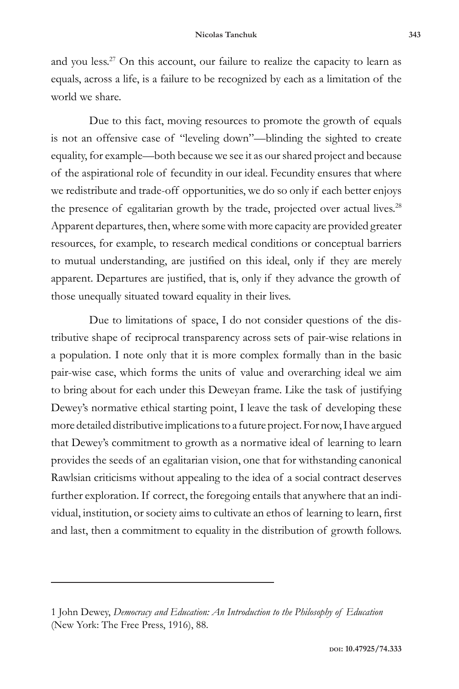and you less.<sup>27</sup> On this account, our failure to realize the capacity to learn as equals, across a life, is a failure to be recognized by each as a limitation of the world we share.

Due to this fact, moving resources to promote the growth of equals is not an offensive case of "leveling down"—blinding the sighted to create equality, for example—both because we see it as our shared project and because of the aspirational role of fecundity in our ideal. Fecundity ensures that where we redistribute and trade-off opportunities, we do so only if each better enjoys the presence of egalitarian growth by the trade, projected over actual lives.<sup>28</sup> Apparent departures, then, where some with more capacity are provided greater resources, for example, to research medical conditions or conceptual barriers to mutual understanding, are justified on this ideal, only if they are merely apparent. Departures are justified, that is, only if they advance the growth of those unequally situated toward equality in their lives.

Due to limitations of space, I do not consider questions of the distributive shape of reciprocal transparency across sets of pair-wise relations in a population. I note only that it is more complex formally than in the basic pair-wise case, which forms the units of value and overarching ideal we aim to bring about for each under this Deweyan frame. Like the task of justifying Dewey's normative ethical starting point, I leave the task of developing these more detailed distributive implications to a future project. For now, I have argued that Dewey's commitment to growth as a normative ideal of learning to learn provides the seeds of an egalitarian vision, one that for withstanding canonical Rawlsian criticisms without appealing to the idea of a social contract deserves further exploration. If correct, the foregoing entails that anywhere that an individual, institution, or society aims to cultivate an ethos of learning to learn, first and last, then a commitment to equality in the distribution of growth follows.

<sup>1</sup> John Dewey, *Democracy and Education: An Introduction to the Philosophy of Education* (New York: The Free Press, 1916), 88.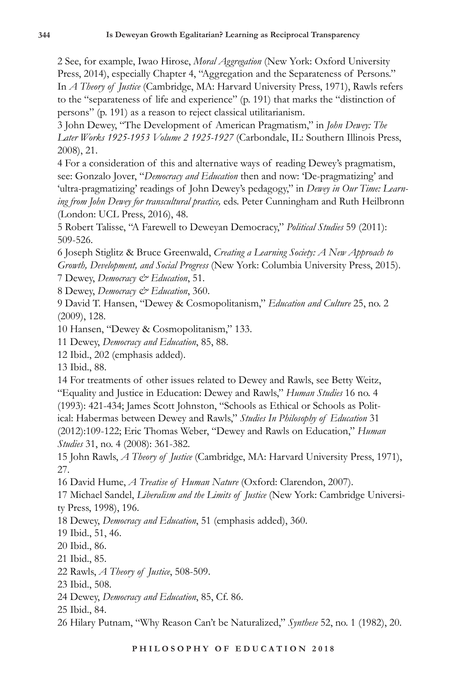2 See, for example, Iwao Hirose, *Moral Aggregation* (New York: Oxford University Press, 2014), especially Chapter 4, "Aggregation and the Separateness of Persons." In *A Theory of Justice* (Cambridge, MA: Harvard University Press, 1971), Rawls refers to the "separateness of life and experience" (p. 191) that marks the "distinction of persons" (p. 191) as a reason to reject classical utilitarianism.

3 John Dewey, "The Development of American Pragmatism," in *John Dewey: The Later Works 1925-1953 Volume 2 1925-1927* (Carbondale, IL: Southern Illinois Press, 2008), 21.

4 For a consideration of this and alternative ways of reading Dewey's pragmatism, see: Gonzalo Jover, "*Democracy and Education* then and now: 'De-pragmatizing' and 'ultra-pragmatizing' readings of John Dewey's pedagogy," in *Dewey in Our Time: Learning from John Dewey for transcultural practice,* eds. Peter Cunningham and Ruth Heilbronn (London: UCL Press, 2016), 48.

5 Robert Talisse, "A Farewell to Deweyan Democracy," *Political Studies* 59 (2011): 509-526.

6 Joseph Stiglitz & Bruce Greenwald, *Creating a Learning Society: A New Approach to Growth, Development, and Social Progress* (New York: Columbia University Press, 2015). 7 Dewey, *Democracy & Education*, 51.

8 Dewey, *Democracy & Education*, 360.

9 David T. Hansen, "Dewey & Cosmopolitanism," *Education and Culture* 25, no. 2 (2009), 128.

10 Hansen, "Dewey & Cosmopolitanism," 133.

11 Dewey, *Democracy and Education*, 85, 88.

12 Ibid., 202 (emphasis added).

13 Ibid., 88.

14 For treatments of other issues related to Dewey and Rawls, see Betty Weitz, "Equality and Justice in Education: Dewey and Rawls," *Human Studies* 16 no. 4 (1993): 421-434; James Scott Johnston, "Schools as Ethical or Schools as Political: Habermas between Dewey and Rawls," *Studies In Philosophy of Education* 31 (2012):109-122; Eric Thomas Weber, "Dewey and Rawls on Education," *Human Studies* 31, no. 4 (2008): 361-382.

15 John Rawls, *A Theory of Justice* (Cambridge, MA: Harvard University Press, 1971), 27.

16 David Hume, *A Treatise of Human Nature* (Oxford: Clarendon, 2007).

17 Michael Sandel, *Liberalism and the Limits of Justice* (New York: Cambridge University Press, 1998), 196.

18 Dewey, *Democracy and Education*, 51 (emphasis added), 360.

19 Ibid., 51, 46.

20 Ibid., 86.

21 Ibid., 85.

22 Rawls, *A Theory of Justice*, 508-509.

23 Ibid., 508.

24 Dewey, *Democracy and Education*, 85, Cf. 86.

25 Ibid., 84.

26 Hilary Putnam, "Why Reason Can't be Naturalized," *Synthese* 52, no. 1 (1982), 20.